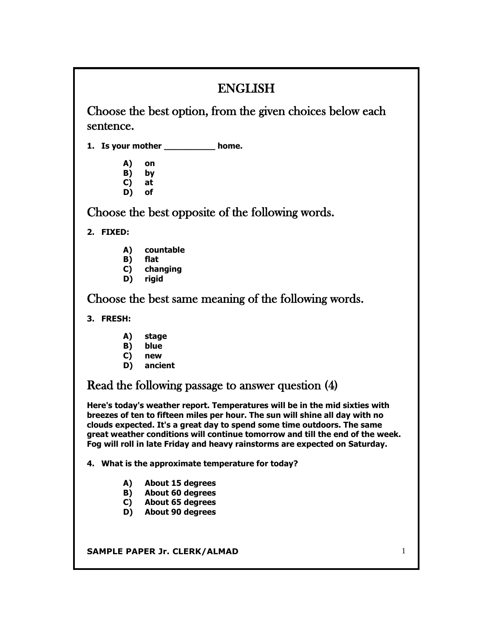# ENGLISH

Choose the best option, from the given choices below each sentence.

**1. Is your mother \_\_\_\_\_\_\_\_\_\_ home.**

- **A) on**
- **B) by**
- **C) at**
- **D) of**

Choose the best opposite of the following words.

**2. FIXED:**

- **A) countable**
- **B) flat**
- **C) changing**
- **D) rigid**

Choose the best same meaning of the following words.

**3. FRESH:**

- **A) stage**
- **B) blue**
- **C) new**
- **D) ancient**

Read the following passage to answer question (4)

**Here's today's weather report. Temperatures will be in the mid sixties with breezes of ten to fifteen miles per hour. The sun will shine all day with no clouds expected. It's a great day to spend some time outdoors. The same great weather conditions will continue tomorrow and till the end of the week. Fog will roll in late Friday and heavy rainstorms are expected on Saturday.**

**4. What is the approximate temperature for today?**

- **A) About 15 degrees**
- **B) About 60 degrees**
- **C) About 65 degrees**
- **D) About 90 degrees**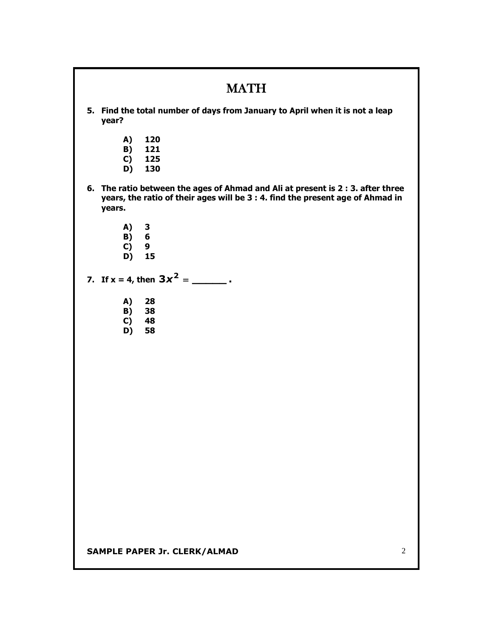|                                                                                                                                                                             | <b>MATH</b>                                |  |
|-----------------------------------------------------------------------------------------------------------------------------------------------------------------------------|--------------------------------------------|--|
| 5. Find the total number of days from January to April when it is not a leap<br>year?                                                                                       |                                            |  |
| A)<br>B)<br>C)<br>D)                                                                                                                                                        | 120<br>121<br>125<br>130                   |  |
| 6. The ratio between the ages of Ahmad and Ali at present is 2 : 3. after three<br>years, the ratio of their ages will be 3 : 4. find the present age of Ahmad in<br>years. |                                            |  |
| A)<br>B)<br>C)<br>D)                                                                                                                                                        | $\mathbf{3}$<br>$6\phantom{1}6$<br>9<br>15 |  |
| 7. If $x = 4$ , then $3x^2 =$ _________.                                                                                                                                    |                                            |  |
| A)<br>B)<br>C)<br>D)                                                                                                                                                        | 28<br>38<br>48<br>58                       |  |
|                                                                                                                                                                             |                                            |  |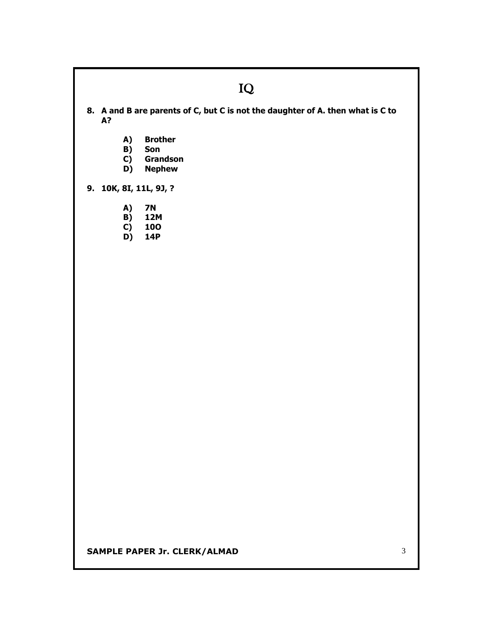## IQ

**8. A and B are parents of C, but C is not the daughter of A. then what is C to A?**

- **A) Brother**
- **B) Son**
- **C) Grandson**
- **D) Nephew**

**9. 10K, 8I, 11L, 9J, ?**

- **A) 7N**
- **B) 12M**
- **C) 10O**
- **D) 14P**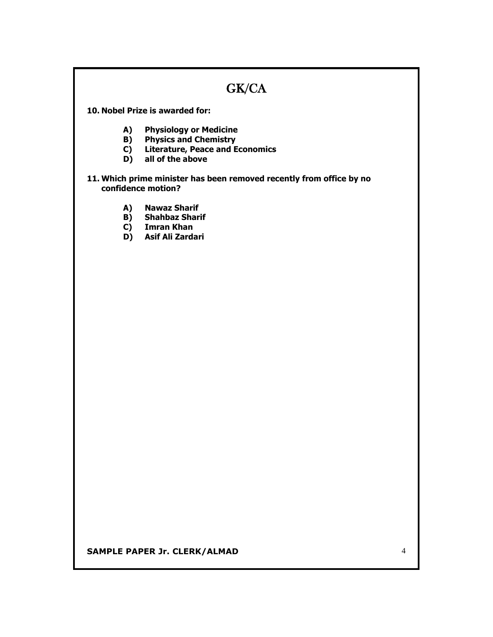## GK/CA

**10. Nobel Prize is awarded for:**

- **A) Physiology or Medicine**
- **B) Physics and Chemistry**
- **C) Literature, Peace and Economics**
- **D) all of the above**

#### **11. Which prime minister has been removed recently from office by no confidence motion?**

- **A) Nawaz Sharif**
- **B) Shahbaz Sharif**
- **C) Imran Khan**
- **D) Asif Ali Zardari**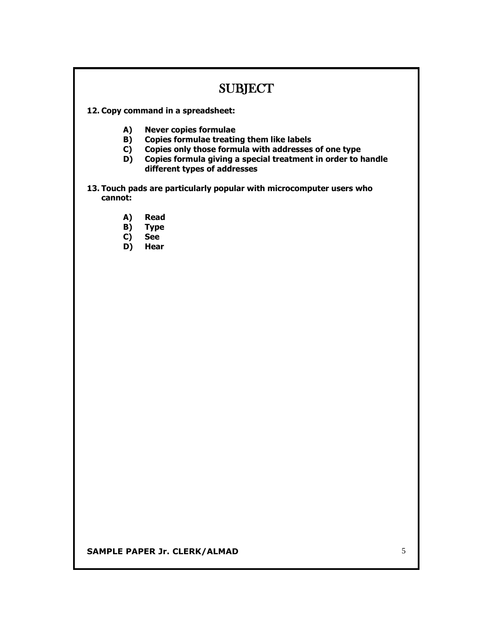### SUBJECT

- **12. Copy command in a spreadsheet:**
	- **A) Never copies formulae**
	- **B) Copies formulae treating them like labels**
	- **C) Copies only those formula with addresses of one type**
	- **D) Copies formula giving a special treatment in order to handle different types of addresses**
- **13. Touch pads are particularly popular with microcomputer users who cannot:**
	- **A) Read**
	- **B) Type**
	- **C) See**
	- **D) Hear**